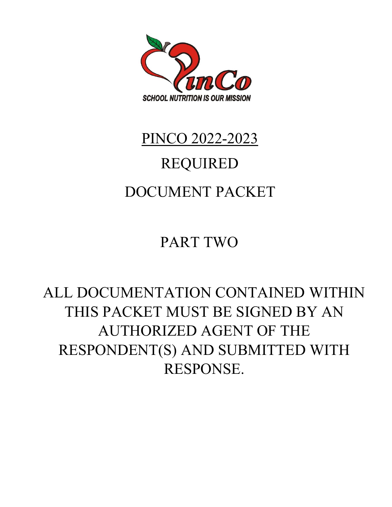

# PINCO 2022-2023 REQUIRED DOCUMENT PACKET

PART TWO

## ALL DOCUMENTATION CONTAINED WITHIN THIS PACKET MUST BE SIGNED BY AN AUTHORIZED AGENT OF THE RESPONDENT(S) AND SUBMITTED WITH RESPONSE.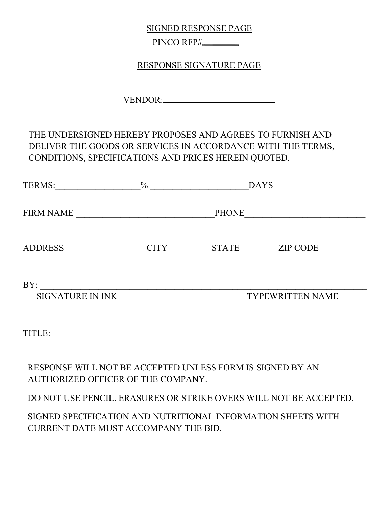SIGNED RESPONSE PAGE

PINCO RFP#

RESPONSE SIGNATURE PAGE

VENDOR:

### THE UNDERSIGNED HEREBY PROPOSES AND AGREES TO FURNISH AND DELIVER THE GOODS OR SERVICES IN ACCORDANCE WITH THE TERMS, CONDITIONS, SPECIFICATIONS AND PRICES HEREIN QUOTED.

| TERMS:                                                                                          | $\frac{0}{0}$ |              | <b>DAYS</b>             |
|-------------------------------------------------------------------------------------------------|---------------|--------------|-------------------------|
| <b>FIRM NAME</b>                                                                                |               | <b>PHONE</b> |                         |
| <b>ADDRESS</b>                                                                                  | <b>CITY</b>   | <b>STATE</b> | <b>ZIP CODE</b>         |
| BY:<br><b>SIGNATURE IN INK</b>                                                                  |               |              | <b>TYPEWRITTEN NAME</b> |
|                                                                                                 |               |              |                         |
| RESPONSE WILL NOT BE ACCEPTED UNLESS FORM IS SIGNED BY AN<br>AUTHORIZED OFFICER OF THE COMPANY. |               |              |                         |

DO NOT USE PENCIL. ERASURES OR STRIKE OVERS WILL NOT BE ACCEPTED.

SIGNED SPECIFICATION AND NUTRITIONAL INFORMATION SHEETS WITH CURRENT DATE MUST ACCOMPANY THE BID.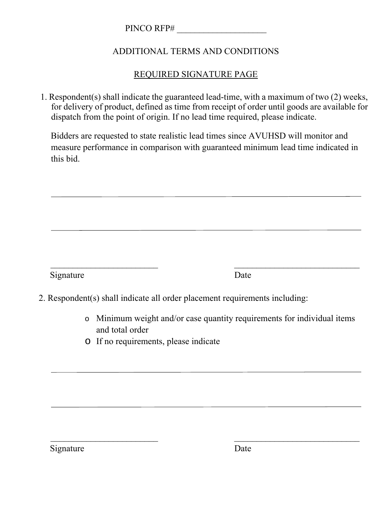PINCO RFP#

### ADDITIONAL TERMS AND CONDITIONS

### REQUIRED SIGNATURE PAGE

1. Respondent(s) shall indicate the guaranteed lead-time, with a maximum of two (2) weeks, for delivery of product, defined as time from receipt of order until goods are available for dispatch from the point of origin. If no lead time required, please indicate.

Bidders are requested to state realistic lead times since AVUHSD will monitor and measure performance in comparison with guaranteed minimum lead time indicated in this bid.

Signature Date

2. Respondent(s) shall indicate all order placement requirements including:

 $\mathcal{L}_\text{max}$  , and the contract of the contract of the contract of the contract of the contract of the contract of

 $\mathcal{L}_\text{max}$  , and the contract of the contract of the contract of the contract of the contract of the contract of the contract of the contract of the contract of the contract of the contract of the contract of the contr

- o Minimum weight and/or case quantity requirements for individual items and total order
- o If no requirements, please indicate

Signature Date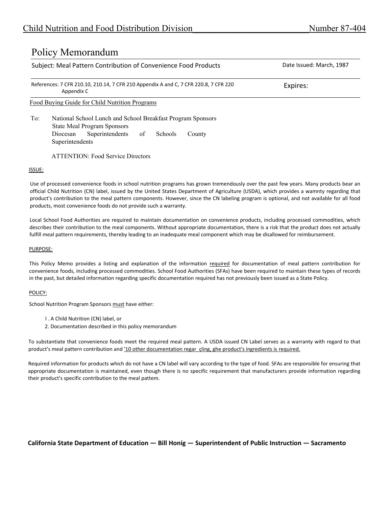### Policy Memorandum

| Subject: Meal Pattern Contribution of Convenience Food Products                                    | Date Issued: March, 1987 |  |  |
|----------------------------------------------------------------------------------------------------|--------------------------|--|--|
| References: 7 CFR 210.10, 210.14, 7 CFR 210 Appendix A and C, 7 CFR 220.8, 7 CFR 220<br>Appendix C | Expires:                 |  |  |
| <u>Food Buying Guide for Child Nutrition Programs</u>                                              |                          |  |  |
| National School Lunch and School Breakfast Program Sponsors<br>To:                                 |                          |  |  |

State Meal Program Sponsors Diocesan Superintendents of Schools County Superintendents

ATTENTION: Food Service Directors

### ISSUE:

Use of processed convenience foods in school nutrition programs has grown tremendously over the past few years. Many products bear an official Child Nutrition (CN) label, issued by the United States Department of Agriculture (USDA), which provides a wamnty regarding that product's contribution to the meal pattern components. However, since the CN labeling program is optional, and not available for all food products, most convenience foods do not provide such a warranty.

Local School Food Authorities are required to maintain documentation on convenience products, including processed commodities, which describes their contribution to the meal components. Without appropriate documentation, there is a risk that the product does not actually fulfill meal pattern requirements, thereby leading to an inadequate meal component which may be disallowed for reimbursement.

#### PURPOSE:

This Policy Memo provides a listing and explanation of the information required for documentation of meal pattern contribution for convenience foods, including processed commodities. School Food Authorities (SFAs) have been required to maintain these types of records in the past, but detailed information regarding specific documentation required has not previously been issued as a State Policy.

#### POLICY:

School Nutrition Program Sponsors must have either:

- l . A Child Nutrition (CN) label, or
- 2. Documentation described in this policy memorandum

To substantiate that convenience foods meet the required meal pattern. A USDA issued CN Label serves as a warranty with regard to that product's meal pattern contribution and '10 other documentation regar\_çling, ghe product's ingredients is required.

Required information for products which do not have a CN label will vary according to the type of food. SFAs are responsible for ensuring that appropriate documentation is maintained, even though there is no specific requirement that manufacturers provide information regarding their product's specific contribution to the meal pattem.

### **California State Department of Education — Bill Honig — Superintendent of Public Instruction — Sacramento**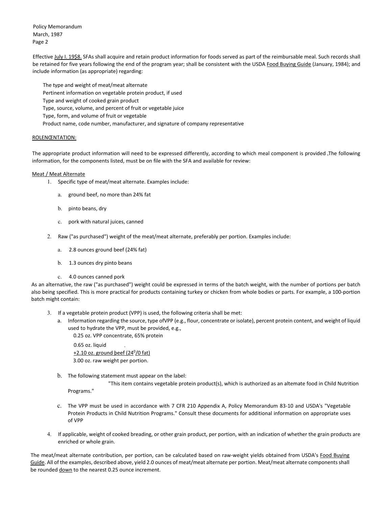Policy Memorandum March, 1987 Page 2

Effective July I. 19\$8. SFAs shall acquire and retain product information for foods served as part of the reimbursable meal. Such records shall be retained for five years following the end of the program year; shall be consistent with the USDA Food Buying Guide (January, 1984); and include information (as appropriate) regarding:

The type and weight of meat/meat alternate Pertinent information on vegetable protein product, if used Type and weight of cooked grain product Type, source, volume, and percent of fruit or vegetable juice Type, form, and volume of fruit or vegetable Product name, code number, manufacturer, and signature of company representative

#### ROLENŒNTATION:

The appropriate product information will need to be expressed differently, according to which meal component is provided The following information, for the components listed, must be on file with the SFA and available for review:

#### Meat / Meat Alternate

- 1. Specific type of meat/meat alternate. Examples include:
	- a. ground beef, no more than 24% fat
	- b. pinto beans, dry
	- c. pork with natural juices, canned
- 2. Raw ("as purchased") weight of the meat/meat alternate, preferably per portion. Examples include:
	- a. 2.8 ounces ground beef (24% fat)
	- b. 1.3 ounces dry pinto beans
	- c. 4.0 ounces canned pork

As an alternative, the raw ("as purchased") weight could be expressed in terms of the batch weight, with the number of portions per batch also being specified. This is more practical for products containing turkey or chicken from whole bodies or parts. For example, a 100‐portion batch might contain:

- 3. If a vegetable protein product (VPP) is used, the following criteria shall be met:
	- a. Information regarding the source, type ofVPP (e.g., flour, concentrate or isolate), percent protein content, and weight of liquid used to hydrate the VPP, must be provided, e.g.,

0.25 oz. VPP concentrate, 65% protein 0.65 oz. liquid  $+2.10$  oz. ground þeef (24 $^{\circ}$ /0 fat)

3.00 oz. raw weight per portion.

b. The following statement must appear on the label:

"This item contains vegetable protein product(s), which is authorized as an altemate food in Child Nutrition Programs."

- c. The VPP must be used in accordance with 7 CFR 210 Appendix A, Policy Memorandum 83‐10 and USDA's "Vegetable Protein Products in Child Nutrition Programs." Consult these documents for additional information on appropriate uses of VPP
- 4. If applicable, weight of cooked breading, or other grain product, per portion, with an indication of whether the grain products are enriched or whole grain.

The meat/meat alternate contribution, per portion, can be calculated based on raw-weight yields obtained from USDA's Food Buying Guide. All of the examples, described above, yield 2.0 ounces of meat/meat alternate per portion. Meat/meat alternate components shall be rounded down to the nearest 0.25 ounce increment.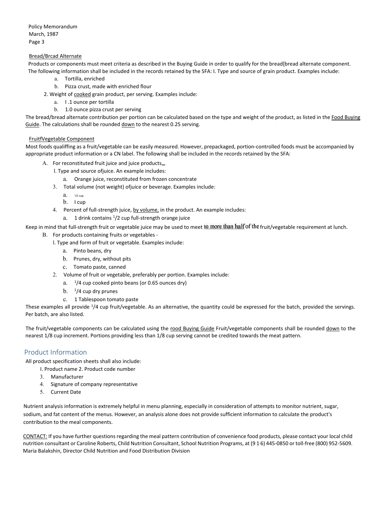Policy Memorandum March, 1987 Page 3

#### Bread/Brcad Alternate

Products or components must meet criteria as described in the Buying Guide in order to qualify for the bread[bread alternate component. The following information shall be included in the records retained by the SFA: I. Type and source of grain product. Examples include:

- a. Tortilla, enriched
- b. Pizza crust, made with enriched flour
- 2. Weight of cooked grain product, per serving. Examples include:
	- a. I .1 ounce per tortilla
	- b. 1.0 ounce pizza crust per serving

The bread/bread alternate contribution per portion can be calculated based on the type and weight of the product, as listed in the Food Buying Guide. The calculations shall be rounded down to the nearest 0.25 serving.

#### FruitfVegetabIe Component

Most foods qualiffing as a fruit/vegetable can be easily measured. However, prepackaged, portion‐controlled foods must be accompanied by appropriate product information or a CN label. The following shall be included in the records retained by the SFA:

- A. For reconstituted fruit juice and juice products
	- l. Type and source ofjuice. An example includes:
		- a. Orange juice, reconstituted from frozen concentrate
	- 3. Total volume (not weight) ofjuice or beverage. Examples include:
		- $a.$   $\frac{1}{2}$  cup
		- b. I cup
	- 4. Percent of full-strength juice, by volume, in the product. An example includes:
		- a. 1 drink contains <sup>1</sup>/2 cup full-strength orange juice

Keep in mind that full-strength fruit or vegetable juice may be used to meet 10 more than half of the fruit/vegetable requirement at lunch.

- B. For products containing fruits or vegetables ‐
	- l. Type and form of fruit or vegetable. Examples include:
		- a. Pinto beans, dry
		- b. Prunes, dry, without pits
		- c. Tomato paste, canned
	- 2. Volume of fruit or vegetable, preferably per portion. Examples include:
		- a.  $1/4$  cup cooked pinto beans (or 0.65 ounces dry)
		- b.  $1/4$  cup dry prunes
		- c. 1 Tablespoon tomato paste

These examples all provide  $\frac{1}{4}$  cup fruit/vegetable. As an alternative, the quantity could be expressed for the batch, provided the servings. Per batch, are also listed.

The fruit/vegetable components can be calculated using the rood Buying Guide Fruit/vegetable components shall be rounded down to the nearest 1/8 cup increment. Portions providing less than 1/8 cup serving cannot be credited towards the meat pattern.

#### Product Information

All product specification sheets shall also include:

- I. Product name 2. Product code number
- 3. Manufacturer
- 4. Signature of company representative
- 5. Current Date

Nutrient analysis information is extremely helpful in menu planning, especially in consideration of attempts to monitor nutrient, sugar, sodium, and fat content of the menus. However, an analysis alone does not provide sufficient information to calculate the product's contribution to the meal components.

CONTACT: If you have further questions regarding the meal pattern contribution of convenience food products, please contact your local child nutrition consultant or Caroline Roberts, Child Nutrition Consultant, School Nutrition Programs, at (9 1 6) 445‐0850 or toll‐free (800) 952‐5609. Maria Balakshin, Director Child Nutrition and Food Distribution Division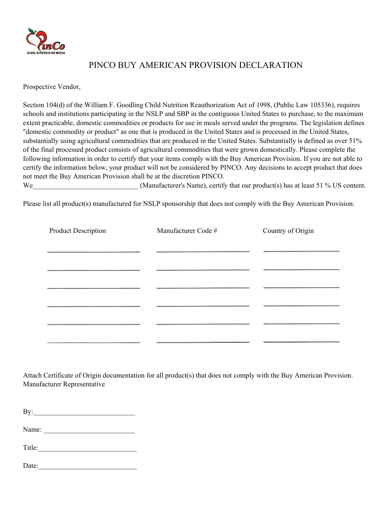

### PINCO BUY AMERICAN PROVISION DECLARATION

Prospective Vendor,

Section 104(d) of the William F. Goodling Child Nutrition Reauthorization Act of 1998, (Public Law 105336), requires schools and institutions participating in the NSLP and SBP in the contiguous United States to purchase, to the maximum extent practicable, domestic commodities or products for use in meals served under the programs. The legislation defines "domestic commodity or product" as one that is produced in the United States and is processed in the United States, substantially using agricultural commodities that are produced in the United States. Substantially is defined as over 51% of the final processed product consists of agricultural commodities that were grown domestically. Please complete the following information in order to certify that your items comply with the Buy American Provision. If you are not able to certify the information below, your product will not be considered by PINCO. Any decisions to accept product that does not meet the Buy American Provision shall be at the discretion PINCO.

We We (Manufacturer's Name), certify that our product(s) has at least 51 % US content.

Please list all product(s) manufactured for NSLP sponsorship that does not comply with the Buy American Provision:

| Product Description | Manufacturer Code # | Country of Origin |
|---------------------|---------------------|-------------------|
|                     |                     |                   |
|                     |                     |                   |
|                     |                     |                   |
|                     |                     |                   |
|                     |                     |                   |
|                     |                     |                   |

Attach Certificate of Origin documentation for all product(s) that does not comply with the Buy American Provision. Manufacturer Representative

 $\mathbf{B} \mathbf{y}$ :

Name:

| $T_{\rm it}$ le: |  |  |
|------------------|--|--|
|                  |  |  |

| Date: |  |
|-------|--|
|       |  |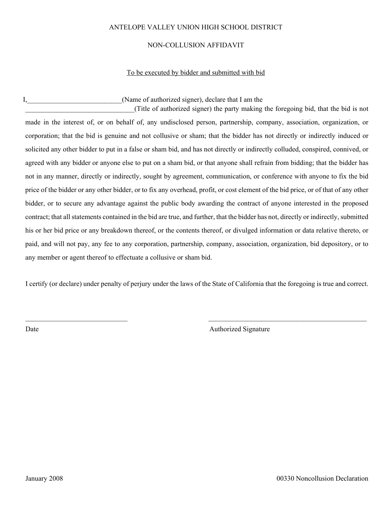### ANTELOPE VALLEY UNION HIGH SCHOOL DISTRICT

#### NON-COLLUSION AFFIDAVIT

#### To be executed by bidder and submitted with bid

I, Solution 1, The College of authorized signer), declare that I am the I am the I am the I am the I am the I am the I am the I am the I am the I am the I am the I am the I am the I am the I am the I am the I am the I am t

\_\_\_\_\_\_\_\_\_\_\_\_\_\_\_\_\_\_\_\_\_\_\_\_\_\_\_\_\_\_\_(Title of authorized signer) the party making the foregoing bid, that the bid is not made in the interest of, or on behalf of, any undisclosed person, partnership, company, association, organization, or corporation; that the bid is genuine and not collusive or sham; that the bidder has not directly or indirectly induced or solicited any other bidder to put in a false or sham bid, and has not directly or indirectly colluded, conspired, connived, or agreed with any bidder or anyone else to put on a sham bid, or that anyone shall refrain from bidding; that the bidder has not in any manner, directly or indirectly, sought by agreement, communication, or conference with anyone to fix the bid price of the bidder or any other bidder, or to fix any overhead, profit, or cost element of the bid price, or of that of any other bidder, or to secure any advantage against the public body awarding the contract of anyone interested in the proposed contract; that all statements contained in the bid are true, and further, that the bidder has not, directly or indirectly, submitted his or her bid price or any breakdown thereof, or the contents thereof, or divulged information or data relative thereto, or paid, and will not pay, any fee to any corporation, partnership, company, association, organization, bid depository, or to any member or agent thereof to effectuate a collusive or sham bid.

I certify (or declare) under penalty of perjury under the laws of the State of California that the foregoing is true and correct.

 $\mathcal{L}_\mathcal{L} = \{ \mathcal{L}_\mathcal{L} = \{ \mathcal{L}_\mathcal{L} = \{ \mathcal{L}_\mathcal{L} = \{ \mathcal{L}_\mathcal{L} = \{ \mathcal{L}_\mathcal{L} = \{ \mathcal{L}_\mathcal{L} = \{ \mathcal{L}_\mathcal{L} = \{ \mathcal{L}_\mathcal{L} = \{ \mathcal{L}_\mathcal{L} = \{ \mathcal{L}_\mathcal{L} = \{ \mathcal{L}_\mathcal{L} = \{ \mathcal{L}_\mathcal{L} = \{ \mathcal{L}_\mathcal{L} = \{ \mathcal{L}_\mathcal{$ 

Date Authorized Signature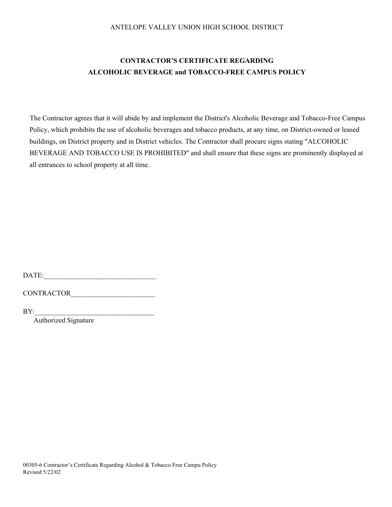### ANTELOPE VALLEY UNION HIGH SCHOOL DISTRICT

### **CONTRACTOR'S CERTIFICATE REGARDING ALCOHOLIC BEVERAGE and TOBACCO-FREE CAMPUS POLICY**

The Contractor agrees that it will abide by and implement the District's Alcoholic Beverage and Tobacco-Free Campus Policy, which prohibits the use of alcoholic beverages and tobacco products, at any time, on District-owned or leased buildings, on District property and in District vehicles. The Contractor shall procure signs stating "ALCOHOLIC BEVERAGE AND TOBACCO USE IS PROHIBITED" and shall ensure that these signs are prominently displayed at all entrances to school property at all time.

DATE:

CONTRACTOR

 $BY:$ 

Authorized Signature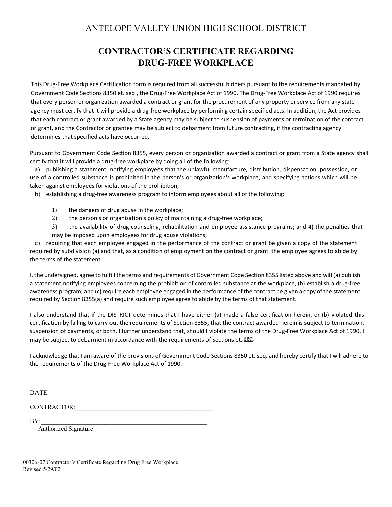### ANTELOPE VALLEY UNION HIGH SCHOOL DISTRICT

### **CONTRACTOR'S CERTIFICATE REGARDING DRUG-FREE WORKPLACE**

This Drug‐Free Workplace Certification form is required from all successful bidders pursuant to the requirements mandated by Government Code Sections 8350 et. seq., the Drug‐Free Workplace Act of 1990. The Drug‐Free Workplace Act of 1990 requires that every person or organization awarded a contract or grant for the procurement of any property or service from any state agency must certify that it will provide a drug-free workplace by performing certain specified acts. In addition, the Act provides that each contract or grant awarded by a State agency may be subject to suspension of payments or termination of the contract or grant, and the Contractor or grantee may be subject to debarment from future contracting, if the contracting agency determines that specified acts have occurred.

Pursuant to Government Code Section 8355, every person or organization awarded a contract or grant from a State agency shall certify that it will provide a drug-free workplace by doing all of the following:

a) publishing a statement, notifying employees that the unlawful manufacture, distribution, dispensation, possession, or use of a controlled substance is prohibited in the person's or organization's workplace, and specifying actions which will be taken against employees for violations of the prohibition;

b) establishing a drug‐free awareness program to inform employees about all of the following:

- 1) the dangers of drug abuse in the workplace;
- 2) the person's or organization's policy of maintaining a drug-free workplace;
- 3) the availability of drug counseling, rehabilitation and employee-assistance programs; and 4) the penalties that may be imposed upon employees for drug abuse violations;

c) requiring that each employee engaged in the performance of the contract or grant be given a copy of the statement required by subdivision (a) and that, as a condition of employment on the contract or grant, the employee agrees to abide by the terms of the statement.

I, the undersigned, agree to fulfill the terms and requirements of Government Code Section 8355 listed above and will (a) publish a statement notifying employees concerning the prohibition of controlled substance at the workplace, (b) establish a drug‐free awareness program, and (c) require each employee engaged in the performance of the contract be given a copy of the statement required by Section 8355(a) and require such employee agree to abide by the terms of that statement.

I also understand that if the DISTRICT determines that I have either (a) made a false certification herein, or (b) violated this certification by failing to carry out the requirements of Section 8355, that the contract awarded herein is subject to termination, suspension of payments, or both. I further understand that, should I violate the terms of the Drug-Free Workplace Act of 1990, I may be subject to debarment in accordance with the requirements of Sections et. Seq.

I acknowledge that I am aware of the provisions of Government Code Sections 8350 et. seq. and hereby certify that I will adhere to the requirements of the Drug‐Free Workplace Act of 1990.

CONTRACTOR: UNITED ASSESSED ASSESSED.

 $BY:$ 

Authorized Signature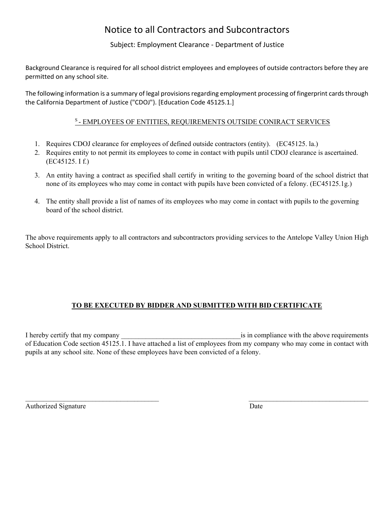### Notice to all Contractors and Subcontractors

Subject: Employment Clearance ‐ Department of Justice

Background Clearance is required for all school district employees and employees of outside contractors before they are permitted on any school site.

The following information is a summary of legal provisions regarding employment processing of fingerprint cards through the California Department of Justice ("CDOJ"). [Education Code 45125.1.]

### S - EMPLOYEES OF ENTITIES, REQUIREMENTS OUTSIDE CONIRACT SERVICES

- 1. Requires CDOJ clearance for employees of defined outside contractors (entity). (EC45125. la.)
- 2. Requires entity to not permit its employees to come in contact with pupils until CDOJ clearance is ascertained. (EC45125. I f.)
- 3. An entity having a contract as specified shall certify in writing to the governing board of the school district that none of its employees who may come in contact with pupils have been convicted of a felony. (EC45125.1g.)
- 4. The entity shall provide a list of names of its employees who may come in contact with pupils to the governing board of the school district.

The above requirements apply to all contractors and subcontractors providing services to the Antelope Valley Union High School District.

### **TO BE EXECUTED BY BIDDER AND SUBMITTED WITH BID CERTIFICATE**

I hereby certify that my company the sum of the above requirements is in compliance with the above requirements of Education Code section 45125.1. I have attached a list of employees from my company who may come in contact with pupils at any school site. None of these employees have been convicted of a felony.

 $\mathcal{L}_\text{max} = \mathcal{L}_\text{max} = \mathcal{L}_\text{max} = \mathcal{L}_\text{max} = \mathcal{L}_\text{max} = \mathcal{L}_\text{max} = \mathcal{L}_\text{max} = \mathcal{L}_\text{max} = \mathcal{L}_\text{max} = \mathcal{L}_\text{max} = \mathcal{L}_\text{max} = \mathcal{L}_\text{max} = \mathcal{L}_\text{max} = \mathcal{L}_\text{max} = \mathcal{L}_\text{max} = \mathcal{L}_\text{max} = \mathcal{L}_\text{max} = \mathcal{L}_\text{max} = \mathcal{$ 

Authorized Signature Date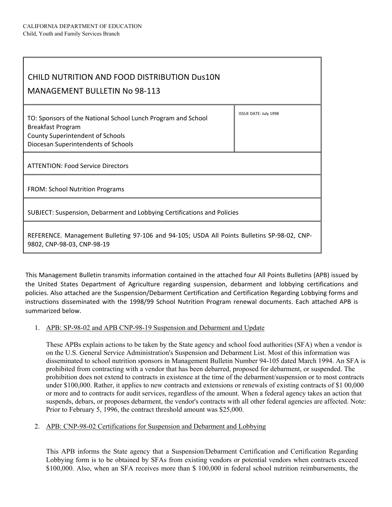| CHILD NUTRITION AND FOOD DISTRIBUTION Dus10N<br><b>MANAGEMENT BULLETIN No 98-113</b>                                                                                       |                       |
|----------------------------------------------------------------------------------------------------------------------------------------------------------------------------|-----------------------|
| TO: Sponsors of the National School Lunch Program and School<br><b>Breakfast Program</b><br><b>County Superintendent of Schools</b><br>Diocesan Superintendents of Schools | ISSUE DATE: July 1998 |
| <b>ATTENTION: Food Service Directors</b>                                                                                                                                   |                       |
| <b>FROM: School Nutrition Programs</b>                                                                                                                                     |                       |
| SUBJECT: Suspension, Debarment and Lobbying Certifications and Policies                                                                                                    |                       |
| REFERENCE. Management Bulleting 97-106 and 94-105; USDA All Points Bulletins SP-98-02, CNP-<br>9802, CNP-98-03, CNP-98-19                                                  |                       |

This Management Bulletin transmits information contained in the attached four All Points Bulletins (APB) issued by the United States Department of Agriculture regarding suspension, debarment and lobbying certifications and policies. Also attached are the Suspension/Debarment Certification and Certification Regarding Lobbying forms and instructions disseminated with the 1998/99 School Nutrition Program renewal documents. Each attached APB is summarized below.

### 1. APB: SP-98-02 and APB CNP-98-19 Suspension and Debarment and Update

These APBs explain actions to be taken by the State agency and school food authorities (SFA) when a vendor is on the U.S. General Service Administration's Suspension and Debarment List. Most of this information was disseminated to school nutrition sponsors in Management Bulletin Number 94-105 dated March 1994. An SFA is prohibited from contracting with a vendor that has been debarred, proposed for debarment, or suspended. The prohibition does not extend to contracts in existence at the time of the debarment/suspension or to most contracts under \$100,000. Rather, it applies to new contracts and extensions or renewals of existing contracts of \$1 00,000 or more and to contracts for audit services, regardless of the amount. When a federal agency takes an action that suspends, debars, or proposes debarment, the vendor's contracts with all other federal agencies are affected. Note: Prior to February 5, 1996, the contract threshold amount was \$25,000.

### 2. APB: CNP-98-02 Certifications for Suspension and Debarment and Lobbying

This APB informs the State agency that a Suspension/Debarment Certification and Certification Regarding Lobbying form is to be obtained by SFAs from existing vendors or potential vendors when contracts exceed \$100,000. Also, when an SFA receives more than \$ 100,000 in federal school nutrition reimbursements, the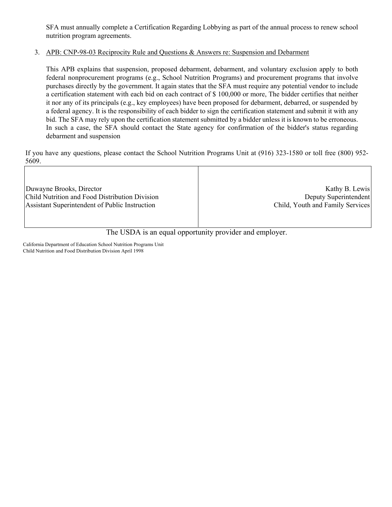SFA must annually complete a Certification Regarding Lobbying as part of the annual process to renew school nutrition program agreements.

### 3. APB: CNP-98-03 Reciprocity Rule and Questions & Answers re: Suspension and Debarment

This APB explains that suspension, proposed debarment, debarment, and voluntary exclusion apply to both federal nonprocurement programs (e.g., School Nutrition Programs) and procurement programs that involve purchases directly by the government. It again states that the SFA must require any potential vendor to include a certification statement with each bid on each contract of \$ 100,000 or more, The bidder certifies that neither it nor any of its principals (e.g., key employees) have been proposed for debarment, debarred, or suspended by a federal agency. It is the responsibility of each bidder to sign the certification statement and submit it with any bid. The SFA may rely upon the certification statement submitted by a bidder unless it is known to be erroneous. In such a case, the SFA should contact the State agency for confirmation of the bidder's status regarding debarment and suspension

If you have any questions, please contact the School Nutrition Programs Unit at (916) 323-1580 or toll free (800) 952- 5609.

| Duwayne Brooks, Director                       | Kathy B. Lewis                   |
|------------------------------------------------|----------------------------------|
| Child Nutrition and Food Distribution Division | Deputy Superintendent            |
| Assistant Superintendent of Public Instruction | Child, Youth and Family Services |
|                                                |                                  |

The USDA is an equal opportunity provider and employer.

California Department of Education School Nutrition Programs Unit Child Nutrition and Food Distribution Division April 1998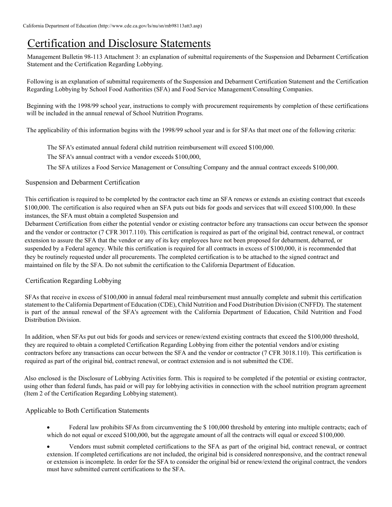### Certification and Disclosure Statements

Management Bulletin 98-113 Attachment 3: an explanation of submittal requirements of the Suspension and Debarment Certification Statement and the Certification Regarding Lobbying.

Following is an explanation of submittal requirements of the Suspension and Debarment Certification Statement and the Certification Regarding Lobbying by School Food Authorities (SFA) and Food Service Management/Consulting Companies.

Beginning with the 1998/99 school year, instructions to comply with procurement requirements by completion of these certifications will be included in the annual renewal of School Nutrition Programs.

The applicability of this information begins with the 1998/99 school year and is for SFAs that meet one of the following criteria:

The SFA's estimated annual federal child nutrition reimbursement will exceed \$100,000.

The SFA's annual contract with a vendor exceeds \$100,000,

The SFA utilizes a Food Service Management or Consulting Company and the annual contract exceeds \$100,000.

Suspension and Debarment Certification

This certification is required to be completed by the contractor each time an SFA renews or extends an existing contract that exceeds \$100,000. The certification is also required when an SFA puts out bids for goods and services that will exceed \$100,000. In these instances, the SFA must obtain a completed Suspension and

Debarment Certification from either the potential vendor or existing contractor before any transactions can occur between the sponsor and the vendor or contractor (7 CFR 3017.110). This certification is required as part of the original bid, contract renewal, or contract extension to assure the SFA that the vendor or any of its key employees have not been proposed for debarment, debarred, or suspended by a Federal agency. While this certification is required for all contracts in excess of \$100,000, it is recommended that they be routinely requested under all procurements. The completed certification is to be attached to the signed contract and maintained on file by the SFA. Do not submit the certification to the California Department of Education.

### Certification Regarding Lobbying

SFAs that receive in excess of \$100,000 in annual federal meal reimbursement must annually complete and submit this certification statement to the California Department of Education (CDE), Child Nutrition and Food Distribution Division (CNFFD). The statement is part of the annual renewal of the SFA's agreement with the California Department of Education, Child Nutrition and Food Distribution Division.

In addition, when SFAs put out bids for goods and services or renew/extend existing contracts that exceed the \$100,000 threshold, they are required to obtain a completed Certification Regarding Lobbying from either the potential vendors and/or existing contractors before any transactions can occur between the SFA and the vendor or contractor (7 CFR 3018.110). This certification is required as part of the original bid, contract renewal, or contract extension and is not submitted the CDE.

Also enclosed is the Disclosure of Lobbying Activities form. This is required to be completed if the potential or existing contractor, using other than federal funds, has paid or will pay for lobbying activities in connection with the school nutrition program agreement (Item 2 of the Certification Regarding Lobbying statement).

### Applicable to Both Certification Statements

- Federal law prohibits SFAs from circumventing the \$ 100,000 threshold by entering into multiple contracts; each of which do not equal or exceed \$100,000, but the aggregate amount of all the contracts will equal or exceed \$100,000.
- Vendors must submit completed certifications to the SFA as part of the original bid, contract renewal, or contract extension. If completed certifications are not included, the original bid is considered nonresponsive, and the contract renewal or extension is incomplete. In order for the SFA to consider the original bid or renew/extend the original contract, the vendors must have submitted current certifications to the SFA.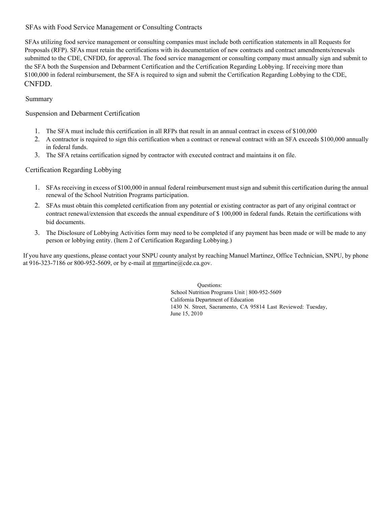### SFAs with Food Service Management or Consulting Contracts

SFAs utilizing food service management or consulting companies must include both certification statements in all Requests for Proposals (RFP). SFAs must retain the certifications with its documentation of new contracts and contract amendments/renewals submitted to the CDE, CNFDD, for approval. The food service management or consulting company must annually sign and submit to the SFA both the Suspension and Debarment Certification and the Certification Regarding Lobbying. If receiving more than \$100,000 in federal reimbursement, the SFA is required to sign and submit the Certification Regarding Lobbying to the CDE, CNFDD.

### Summary

### Suspension and Debarment Certification

- 1. The SFA must include this certification in all RFPs that result in an annual contract in excess of \$100,000
- 2. A contractor is required to sign this certification when a contract or renewal contract with an SFA exceeds \$100,000 annually in federal funds.
- 3. The SFA retains certification signed by contractor with executed contract and maintains it on file.

### Certification Regarding Lobbying

- 1. SFAs receiving in excess of \$100,000 in annual federal reimbursement must sign and submit this certification during the annual renewal of the School Nutrition Programs participation.
- 2. SFAs must obtain this completed certification from any potential or existing contractor as part of any original contract or contract renewal/extension that exceeds the annual expenditure of \$ 100,000 in federal funds. Retain the certifications with bid documents.
- 3. The Disclosure of Lobbying Activities form may need to be completed if any payment has been made or will be made to any person or lobbying entity. (Item 2 of Certification Regarding Lobbying.)

If you have any questions, please contact your SNPU county analyst by reaching Manuel Martinez, Office Technician, SNPU, by phone at 916-323-7186 or 800-952-5609, or by e-mail at mmartine@cde.ca.gov.

> Questions: School Nutrition Programs Unit | 800-952-5609 California Department of Education 1430 N. Street, Sacramento, CA 95814 Last Reviewed: Tuesday, June 15, 2010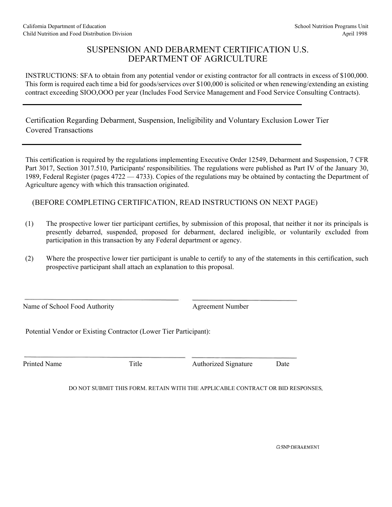### SUSPENSION AND DEBARMENT CERTIFICATION U.S. DEPARTMENT OF AGRICULTURE

INSTRUCTIONS: SFA to obtain from any potential vendor or existing contractor for all contracts in excess of \$100,000. This form is required each time a bid for goods/services over \$100,000 is solicited or when renewing/extending an existing contract exceeding SIOO,OOO per year (Includes Food Service Management and Food Service Consulting Contracts).

Certification Regarding Debarment, Suspension, Ineligibility and Voluntary Exclusion Lower Tier Covered Transactions

This certification is required by the regulations implementing Executive Order 12549, Debarment and Suspension, 7 CFR Part 3017, Section 3017.510, Participants' responsibilities. The regulations were published as Part IV of the January 30, 1989, Federal Register (pages 4722 — 4733). Copies of the regulations may be obtained by contacting the Department of Agriculture agency with which this transaction originated.

### (BEFORE COMPLETING CERTIFICATION, READ INSTRUCTIONS ON NEXT PAGE)

- (1) The prospective lower tier participant certifies, by submission of this proposal, that neither it nor its principals is presently debarred, suspended, proposed for debarment, declared ineligible, or voluntarily excluded from participation in this transaction by any Federal department or agency.
- (2) Where the prospective lower tier participant is unable to certify to any of the statements in this certification, such prospective participant shall attach an explanation to this proposal.

Name of School Food Authority Agreement Number

Potential Vendor or Existing Contractor (Lower Tier Participant):

Printed Name Title Authorized Signature Date

DO NOT SUBMIT THIS FORM. RETAIN WITH THE APPLICABLE CONTRACT OR BID RESPONSES

**G:SNP:DEBARMENT**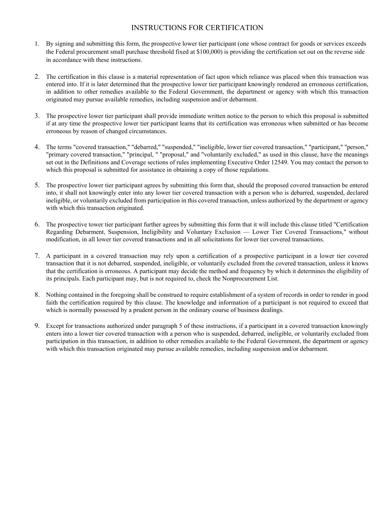### INSTRUCTIONS FOR CERTIFICATION

- 1. By signing and submitting this form, the prospective lower tier participant (one whose contract for goods or services exceeds the Federal procurement small purchase threshold fixed at \$100,000) is providing the certification set out on the reverse side in accordance with these instructions.
- 2. The certification in this clause is a material representation of fact upon which reliance was placed when this transaction was entered into. If it is later determined that the prospective lower tier participant knowingly rendered an erroneous certification, in addition to other remedies available to the Federal Government, the department or agency with which this transaction originated may pursue available remedies, including suspension and/or debarment.
- 3. The prospective lower tier participant shall provide immediate written notice to the person to which this proposal is submitted if at any time the prospective lower tier participant learns that its certification was erroneous when submitted or has become erroneous by reason of changed circumstances.
- 4. The terms "covered transaction," "debarred," "suspended," "ineligible, lower tier covered transaction," "participant," "person," "primary covered transaction," "principal, " "proposal," and "voluntarily excluded," as used in this clause, have the meanings set out in the Definitions and Coverage sections of rules implementing Executive Order 12549. You may contact the person to which this proposal is submitted for assistance in obtaining a copy of those regulations.
- 5. The prospective lower tier participant agrees by submitting this form that, should the proposed covered transaction be entered into, it shall not knowingly enter into any lower tier covered transaction with a person who is debarred, suspended, declared ineligible, or voluntarily excluded from participation in this covered transaction, unless authorized by the department or agency with which this transaction originated.
- 6. The prospective tower tier participant further agrees by submitting this form that it will include this clause titled "Certification Regarding Debarment, Suspension, Ineligibility and Voluntary Exclusion — Lower Tier Covered Transactions," without modification, in all lower tier covered transactions and in all solicitations for lower tier covered transactions.
- 7. A participant in a covered transaction may rely upon a certification of a prospective participant in a lower tier covered transaction that it is not debarred, suspended, ineligible, or voluntarily excluded from the covered transaction, unless it knows that the certification is erroneous. A participant may decide the method and frequency by which it determines the eligibility of its principals. Each participant may, but is not required to, check the Nonprocurement List.
- 8. Nothing contained in the foregoing shall be construed to require establishment of a system of records in order to render in good faith the certification required by this clause. The knowledge and information of a participant is not required to exceed that which is normally possessed by a prudent person in the ordinary course of business dealings.
- 9. Except for transactions authorized under paragraph 5 of these instructions, if a participant in a covered transaction knowingly enters into a lower tier covered transaction with a person who is suspended, debarred, ineligible, or voluntarily excluded from participation in this transaction, in addition to other remedies available to the Federal Government, the department or agency with which this transaction originated may pursue available remedies, including suspension and/or debarment.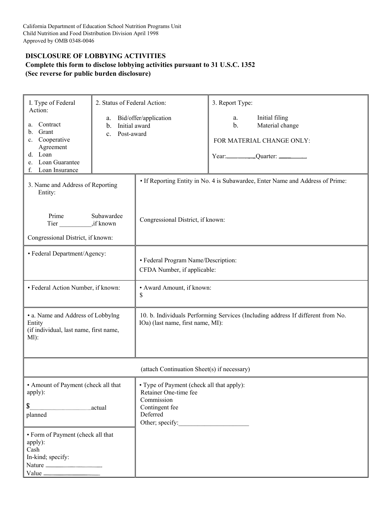### **DISCLOSURE OF LOBBYING ACTIVITIES Complete this form to disclose lobbying activities pursuant to 31 U.S.C. 1352 (Sec reverse for public burden disclosure)**

| I. Type of Federal<br>Action:<br>Contract<br>a.<br>Grant<br>b.<br>c. Cooperative<br>Agreement<br>d. Loan<br>e. Loan Guarantee<br>Loan Insurance<br>f.            | 2. Status of Federal Action:<br>Bid/offer/application<br>a.<br>Initial award<br>b.<br>Post-award<br>$\mathbf{c}$ . |                                                                                                                                   | 3. Report Type:<br>a.<br>$\mathbf b$ . | Initial filing<br>Material change<br>FOR MATERIAL CHANGE ONLY:                  |
|------------------------------------------------------------------------------------------------------------------------------------------------------------------|--------------------------------------------------------------------------------------------------------------------|-----------------------------------------------------------------------------------------------------------------------------------|----------------------------------------|---------------------------------------------------------------------------------|
| 3. Name and Address of Reporting<br>Entity:                                                                                                                      |                                                                                                                    |                                                                                                                                   |                                        | • If Reporting Entity in No. 4 is Subawardee, Enter Name and Address of Prime:  |
| Prime<br>Tier ,if known<br>Congressional District, if known:                                                                                                     | Subawardee                                                                                                         | Congressional District, if known:                                                                                                 |                                        |                                                                                 |
| • Federal Department/Agency:                                                                                                                                     |                                                                                                                    | • Federal Program Name/Description:<br>CFDA Number, if applicable:                                                                |                                        |                                                                                 |
| • Federal Action Number, if known:                                                                                                                               |                                                                                                                    | • Award Amount, if known:<br>\$                                                                                                   |                                        |                                                                                 |
| • a. Name and Address of Lobbying<br>Entity<br>(if individual, last name, first name,<br>$M$ ):                                                                  |                                                                                                                    | IOa) (last name, first name, MI):                                                                                                 |                                        | 10. b. Individuals Performing Services (Including address If different from No. |
|                                                                                                                                                                  |                                                                                                                    | (attach Continuation Sheet(s) if necessary)                                                                                       |                                        |                                                                                 |
| • Amount of Payment (check all that<br>apply):<br>\$<br>actual<br>planned<br>• Form of Payment (check all that<br>apply):<br>Cash<br>In-kind; specify:<br>Nature |                                                                                                                    | • Type of Payment (check all that apply):<br>Retainer One-time fee<br>Commission<br>Contingent fee<br>Deferred<br>Other; specify: |                                        |                                                                                 |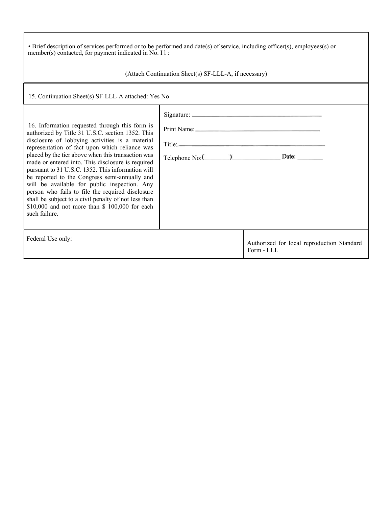| • Brief description of services performed or to be performed and date(s) of service, including officer(s), employees(s) or<br>member(s) contacted, for payment indicated in No. I l:<br>(Attach Continuation Sheet(s) SF-LLL-A, if necessary)                                                                                                                                                                                                                                                                                                                                                                                                           |                                           |                                                                                                                |  |
|---------------------------------------------------------------------------------------------------------------------------------------------------------------------------------------------------------------------------------------------------------------------------------------------------------------------------------------------------------------------------------------------------------------------------------------------------------------------------------------------------------------------------------------------------------------------------------------------------------------------------------------------------------|-------------------------------------------|----------------------------------------------------------------------------------------------------------------|--|
| 15. Continuation Sheet(s) SF-LLL-A attached: Yes No                                                                                                                                                                                                                                                                                                                                                                                                                                                                                                                                                                                                     |                                           |                                                                                                                |  |
| 16. Information requested through this form is<br>authorized by Title 31 U.S.C. section 1352. This<br>disclosure of lobbying activities is a material<br>representation of fact upon which reliance was<br>placed by the tier above when this transaction was<br>made or entered into. This disclosure is required<br>pursuant to 31 U.S.C. 1352. This information will<br>be reported to the Congress semi-annually and<br>will be available for public inspection. Any<br>person who fails to file the required disclosure<br>shall be subject to a civil penalty of not less than<br>\$10,000 and not more than \$ 100,000 for each<br>such failure. | Print Name:<br>Telephone No: (2008) Date: | Title: No. 1998. The Commission of the Commission of the Commission of the Commission of the Commission of the |  |
| Federal Use only:                                                                                                                                                                                                                                                                                                                                                                                                                                                                                                                                                                                                                                       |                                           | Authorized for local reproduction Standard<br>Form - LLL                                                       |  |

П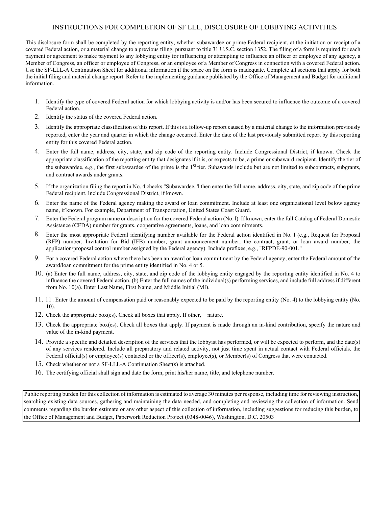### INSTRUCTIONS FOR COMPLETION OF SF LLL, DISCLOSURE OF LOBBYING ACTIVITIES

This disclosure form shall be completed by the reporting entity, whether subawardee or prime Federal recipient, at the initiation or receipt of a covered Federal action, or a material change to a previous filing, pursuant to title 31 U.S.C. section 1352. The filing of a form is required for each payment or agreement to make payment to any lobbying entity for influencing or attempting to influence an officer or employee of any agency, a Member of Congress, an officer or employee of Congress, or an employee of a Member of Congress in connection with a covered Federal action. Use the SF-LLL-A Continuation Sheet for additional information if the space on the form is inadequate. Complete all sections that apply for both the initial filing and material change report. Refer to the implementing guidance published by the Office of Management and Budget for additional information.

- 1. Identify the type of covered Federal action for which lobbying activity is and/or has been secured to influence the outcome of a covered Federal action.
- 2. Identify the status of the covered Federal action.
- 3. Identify the appropriate classification of this report. If this is a follow-up report caused by a material change to the information previously reported, enter the year and quarter in which the change occurred. Entcr the date of the last previously submitted report by this reporting entity for this covered Federal action.
- 4. Enter the full name, address, city, state, and zip code of the reporting entity. Include Congressional District, if known. Check the appropriate classification of the repotting entity that designates if it is, or expects to be, a prime or subaward recipient. Identify the tier of the subawardee, e.g., the first subawardee of the prime is the 1<sup>SI</sup> tier. Subawards include but are not limited to subcontracts, subgrants, and contract awards under grants.
- 5. If the organization filing the report in No. 4 checks "Subawardee, 'l then enter the full name, address, city, state, and zip code of the prime Federal recipient. Include Congressional District, if known.
- 6. Enter the name of the Federal agency making the award or loan commitment. Include at least one organizational level below agency name, if known. For example, Department of Transportation, United States Coast Guard.
- 7. Enter the Federal program name or description for the covered Federal action (No. l). If known, enter the full Catalog of Federal Domestic Assistance (CFDA) number for grants, cooperative agreements, loans, and loan commitments.
- 8. Enter the most appropriate Federal identifying number available for the Federal action identified in No. I (e.g., Request for Proposal (RFP) number; Invitation for Bid (IFB) number; grant announcement number; the contract, grant, or loan award number; the application/proposal control number assigned by the Federal agency). Include prefixes, e.g., "RFPDE-90-001."
- 9. For a covered Federal action where there has been an award or loan commitment by the Federal agency, enter the Federal amount of the award/loan commitment for the prime entity identified in No. 4 or 5.
- 10. (a) Enter the full name, address, city, state, and zip code of the lobbying entity engaged by the reporting entity identified in No. 4 to influence the covered Federal action. (b) Enter the full names of the individual(s) performing services, and include full address if different from No. 10(a). Enter Last Name, First Name, and Middle Initial (MI).
- 11. l l . Enter the amount of compensation paid or reasonably expected to be paid by the reporting entity (No. 4) to the lobbying entity (No. 10).
- 12. Check the appropriate box(es). Check all boxes that apply. If other, nature.
- 13. Check the appropriate box(es). Check all boxes that apply. If payment is made through an in-kind contribution, specify the nature and value of the in-kind payment.
- 14. Provide a specific and detailed description of the services that the lobbyist has performed, or will be expected to perform, and the date(s) of any services rendered. Include all preparatory and related activity, not just time spent in actual contact with Federal officials. the Federal official(s) or employee(s) contacted or the officer(s), employee(s), or Member(s) of Congress that were contacted.
- 15. Check whether or not a SF-LLL-A Continuation Sheet(s) is attached.
- 16. The certifying official shall sign and date the form, print his/her name, title, and telephone number.

Public reporting burden for this collection of information is estimated to average 30 minutes per response, including time for reviewing instruction, searching existing data sources, gathering and maintaining the data needed, and completing and reviewing the collection of information. Send comments regarding the burden estimate or any other aspect of this collection of information, including suggestions for reducing this burden, to the Office of Management and Budget, Paperwork Reduction Project (0348-0046), Washington, D.C. 20503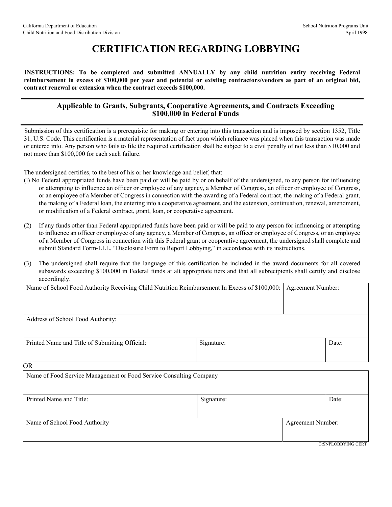### **CERTIFICATION REGARDING LOBBYING**

**INSTRUCTIONS: To be completed and submitted ANNUALLY by any child nutrition entity receiving Federal reimbursement in excess of \$100,000 per year and potential or existing contractors/vendors as part of an original bid, contract renewal or extension when the contract exceeds \$100,000.**

### **Applicable to Grants, Subgrants, Cooperative Agreements, and Contracts Exceeding \$100,000 in Federal Funds**

Submission of this certification is a prerequisite for making or entering into this transaction and is imposed by section 1352, Title 31, U.S. Code. This certification is a material representation of fact upon which reliance was placed when this transaction was made or entered into. Any person who fails to file the required certification shall be subject to a civil penalty of not less than \$10,000 and not more than \$100,000 for each such failure.

The undersigned certifies, to the best of his or her knowledge and belief, that:

- (l) No Federal appropriated funds have been paid or will be paid by or on behalf of the undersigned, to any person for influencing or attempting to influence an officer or employee of any agency, a Member of Congress, an officer or employee of Congress, or an employee of a Member of Congress in connection with the awarding of a Federal contract, the making of a Federal grant, the making of a Federal loan, the entering into a cooperative agreement, and the extension, continuation, renewal, amendment, or modification of a Federal contract, grant, loan, or cooperative agreement.
- (2) If any funds other than Federal appropriated funds have been paid or will be paid to any person for influencing or attempting to influence an officer or employee of any agency, a Member of Congress, an officer or employee of Congress, or an employee of a Member of Congress in connection with this Federal grant or cooperative agreement, the undersigned shall complete and submit Standard Form-LLL, "Disclosure Form to Report Lobbying," in accordance with its instructions.
- (3) The undersigned shall require that the language of this certification be included in the award documents for all covered subawards exceeding \$100,000 in Federal funds at alt appropriate tiers and that all subrecipients shall certify and disclose accordingly.

| Name of School Food Authority Receiving Child Nutrition Reimbursement In Excess of \$100,000: |            | Agreement Number: |       |
|-----------------------------------------------------------------------------------------------|------------|-------------------|-------|
|                                                                                               |            |                   |       |
| Address of School Food Authority:                                                             |            |                   |       |
| Printed Name and Title of Submitting Official:                                                | Signature: |                   | Date: |
| <b>OR</b>                                                                                     |            |                   |       |

| Name of Food Service Management or Food Service Consulting Company |            |                          |                           |
|--------------------------------------------------------------------|------------|--------------------------|---------------------------|
| Printed Name and Title:                                            | Signature: |                          | Date:                     |
| Name of School Food Authority                                      |            | <b>Agreement Number:</b> |                           |
|                                                                    |            |                          | <b>G:SNPLOBBYING CERT</b> |